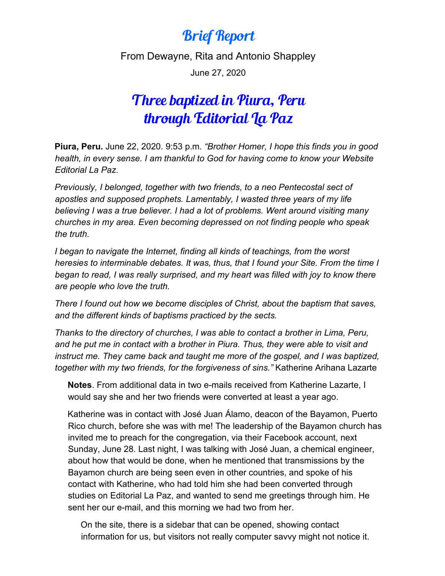## Brief Report

From Dewayne, Rita and Antonio Shappley

June 27, 2020

## Three baptized in Piura, Peru through Editorial La Paz

**Piura, Peru.** June 22, 2020. 9:53 p.m. *"Brother Homer, I hope this finds you in good health, in every sense. I am thankful to God for having come to know your Website Editorial La Paz.* 

*Previously, I belonged, together with two friends, to a neo Pentecostal sect of apostles and supposed prophets. Lamentably, I wasted three years of my life believing I was a true believer. I had a lot of problems. Went around visiting many churches in my area. Even becoming depressed on not finding people who speak the truth.*

*I began to navigate the Internet, finding all kinds of teachings, from the worst heresies to interminable debates. It was, thus, that I found your Site. From the time I began to read, I was really surprised, and my heart was filled with joy to know there are people who love the truth.* 

*There I found out how we become disciples of Christ, about the baptism that saves, and the different kinds of baptisms practiced by the sects.*

*Thanks to the directory of churches, I was able to contact a brother in Lima, Peru, and he put me in contact with a brother in Piura. Thus, they were able to visit and*  instruct me. They came back and taught me more of the gospel, and I was baptized, *together with my two friends, for the forgiveness of sins."* Katherine Arihana Lazarte

**Notes**. From additional data in two e-mails received from Katherine Lazarte, I would say she and her two friends were converted at least a year ago.

Katherine was in contact with José Juan Álamo, deacon of the Bayamon, Puerto Rico church, before she was with me! The leadership of the Bayamon church has invited me to preach for the congregation, via their Facebook account, next Sunday, June 28. Last night, I was talking with José Juan, a chemical engineer, about how that would be done, when he mentioned that transmissions by the Bayamon church are being seen even in other countries, and spoke of his contact with Katherine, who had told him she had been converted through studies on Editorial La Paz, and wanted to send me greetings through him. He sent her our e-mail, and this morning we had two from her.

On the site, there is a sidebar that can be opened, showing contact information for us, but visitors not really computer savvy might not notice it.